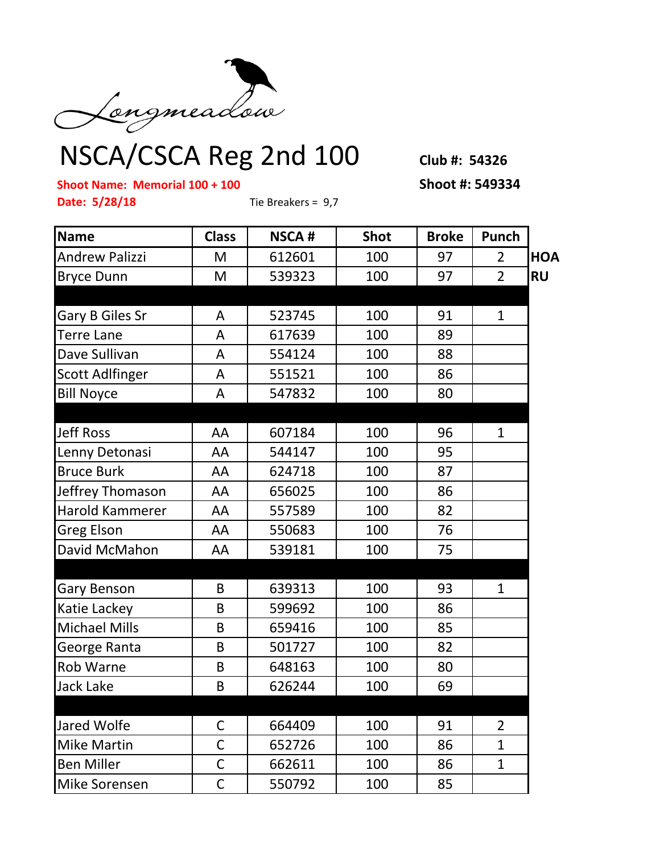

## NSCA/CSCA Reg 2nd 100 **Club #: 54326**

**Shoot Name: Memorial 100 + 100 Shoot #: 549334**

**Date: 5/28/18** Tie Breakers = 9,7

| <b>Name</b>            | <b>Class</b> | <b>NSCA#</b> | <b>Shot</b> | <b>Broke</b> | Punch          |            |
|------------------------|--------------|--------------|-------------|--------------|----------------|------------|
| <b>Andrew Palizzi</b>  | M            | 612601       | 100         | 97           | $\overline{2}$ | <b>HOA</b> |
| <b>Bryce Dunn</b>      | M            | 539323       | 100         | 97           | $\overline{2}$ | <b>RU</b>  |
|                        |              |              |             |              |                |            |
| Gary B Giles Sr        | A            | 523745       | 100         | 91           | $\mathbf{1}$   |            |
| <b>Terre Lane</b>      | A            | 617639       | 100         | 89           |                |            |
| Dave Sullivan          | A            | 554124       | 100         | 88           |                |            |
| <b>Scott Adlfinger</b> | A            | 551521       | 100         | 86           |                |            |
| <b>Bill Noyce</b>      | A            | 547832       | 100         | 80           |                |            |
|                        |              |              |             |              |                |            |
| <b>Jeff Ross</b>       | AA           | 607184       | 100         | 96           | $\mathbf{1}$   |            |
| Lenny Detonasi         | AA           | 544147       | 100         | 95           |                |            |
| <b>Bruce Burk</b>      | AA           | 624718       | 100         | 87           |                |            |
| Jeffrey Thomason       | AA           | 656025       | 100         | 86           |                |            |
| Harold Kammerer        | AA           | 557589       | 100         | 82           |                |            |
| <b>Greg Elson</b>      | AA           | 550683       | 100         | 76           |                |            |
| David McMahon          | AA           | 539181       | 100         | 75           |                |            |
|                        |              |              |             |              |                |            |
| Gary Benson            | B            | 639313       | 100         | 93           | $\mathbf{1}$   |            |
| Katie Lackey           | B            | 599692       | 100         | 86           |                |            |
| <b>Michael Mills</b>   | B            | 659416       | 100         | 85           |                |            |
| George Ranta           | B            | 501727       | 100         | 82           |                |            |
| Rob Warne              | B            | 648163       | 100         | 80           |                |            |
| <b>Jack Lake</b>       | B            | 626244       | 100         | 69           |                |            |
|                        |              |              |             |              |                |            |
| Jared Wolfe            | C            | 664409       | 100         | 91           | $\overline{2}$ |            |
| <b>Mike Martin</b>     | C            | 652726       | 100         | 86           | $\mathbf{1}$   |            |
| <b>Ben Miller</b>      | $\mathsf C$  | 662611       | 100         | 86           | $\mathbf{1}$   |            |
| Mike Sorensen          | C            | 550792       | 100         | 85           |                |            |